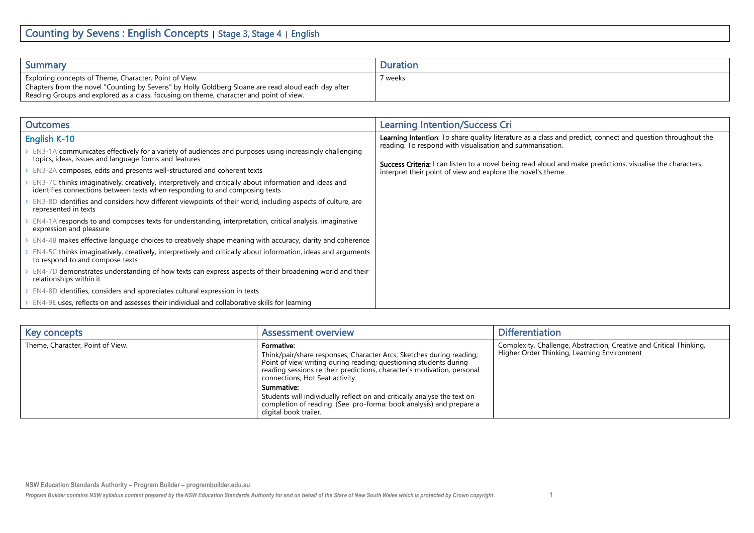| Summary                                                                                                                                                                                                                                                  | Duration |
|----------------------------------------------------------------------------------------------------------------------------------------------------------------------------------------------------------------------------------------------------------|----------|
| Exploring concepts of Theme, Character, Point of View.<br>Chapters from the novel "Counting by Sevens" by Holly Goldberg Sloane are read aloud each day after<br>Reading Groups and explored as a class, focusing on theme, character and point of view. | ' weeks  |

| <b>Outcomes</b>                                                                                                                                                                       | <b>Learning Intention/Success Cri</b>                                                                                                                                             |
|---------------------------------------------------------------------------------------------------------------------------------------------------------------------------------------|-----------------------------------------------------------------------------------------------------------------------------------------------------------------------------------|
| <b>English K-10</b>                                                                                                                                                                   | <b>Learning Intention</b> : To share quality literature as a class and predict, connect and question throughout the<br>reading. To respond with visualisation and summarisation.  |
| EN3-1A communicates effectively for a variety of audiences and purposes using increasingly challenging<br>topics, ideas, issues and language forms and features                       |                                                                                                                                                                                   |
| EN3-2A composes, edits and presents well-structured and coherent texts                                                                                                                | <b>Success Criteria:</b> I can listen to a novel being read aloud and make predictions, visualise the characters,<br>interpret their point of view and explore the novel's theme. |
| EN3-7C thinks imaginatively, creatively, interpretively and critically about information and ideas and<br>identifies connections between texts when responding to and composing texts |                                                                                                                                                                                   |
| EN3-8D identifies and considers how different viewpoints of their world, including aspects of culture, are<br>represented in texts                                                    |                                                                                                                                                                                   |
| EN4-1A responds to and composes texts for understanding, interpretation, critical analysis, imaginative<br>expression and pleasure                                                    |                                                                                                                                                                                   |
| EN4-4B makes effective language choices to creatively shape meaning with accuracy, clarity and coherence                                                                              |                                                                                                                                                                                   |
| EN4-5C thinks imaginatively, creatively, interpretively and critically about information, ideas and arguments<br>to respond to and compose texts                                      |                                                                                                                                                                                   |
| EN4-7D demonstrates understanding of how texts can express aspects of their broadening world and their<br>relationships within it                                                     |                                                                                                                                                                                   |
| EN4-8D identifies, considers and appreciates cultural expression in texts                                                                                                             |                                                                                                                                                                                   |
| EN4-9E uses, reflects on and assesses their individual and collaborative skills for learning                                                                                          |                                                                                                                                                                                   |

| Key concepts                     | <b>Assessment overview</b>                                                                                                                                                                                                                                                                                                                                                                                                                                       | <b>Differentiation</b>                                                                                             |
|----------------------------------|------------------------------------------------------------------------------------------------------------------------------------------------------------------------------------------------------------------------------------------------------------------------------------------------------------------------------------------------------------------------------------------------------------------------------------------------------------------|--------------------------------------------------------------------------------------------------------------------|
| Theme, Character, Point of View. | Formative:<br>Think/pair/share responses; Character Arcs; Sketches during reading;<br>Point of view writing during reading; questioning students during<br>reading sessions re their predictions, character's motivation, personal<br>connections; Hot Seat activity.<br>Summative:<br>Students will individually reflect on and critically analyse the text on<br>completion of reading. (See: pro-forma: book analysis) and prepare a<br>digital book trailer. | Complexity, Challenge, Abstraction, Creative and Critical Thinking,<br>Higher Order Thinking, Learning Environment |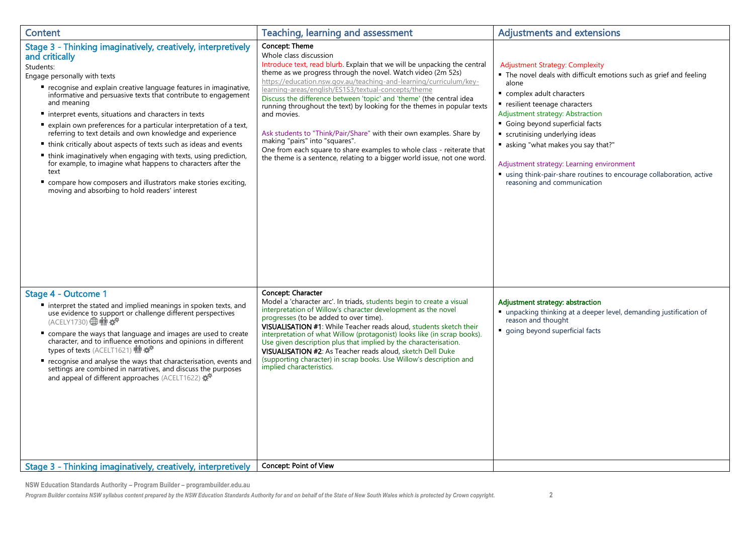| <b>Content</b>                                                                                                                                                                                                                                                                                                                                                                                                                                                                                                                                                                                                                                                                                                                                                                                                           | <b>Teaching, learning and assessment</b>                                                                                                                                                                                                                                                                                                                                                                                                                                                                                                                                                                                                                                                                                                             | <b>Adjustments and extensions</b>                                                                                                                                                                                                                                                                                                                                                                                                                                                  |
|--------------------------------------------------------------------------------------------------------------------------------------------------------------------------------------------------------------------------------------------------------------------------------------------------------------------------------------------------------------------------------------------------------------------------------------------------------------------------------------------------------------------------------------------------------------------------------------------------------------------------------------------------------------------------------------------------------------------------------------------------------------------------------------------------------------------------|------------------------------------------------------------------------------------------------------------------------------------------------------------------------------------------------------------------------------------------------------------------------------------------------------------------------------------------------------------------------------------------------------------------------------------------------------------------------------------------------------------------------------------------------------------------------------------------------------------------------------------------------------------------------------------------------------------------------------------------------------|------------------------------------------------------------------------------------------------------------------------------------------------------------------------------------------------------------------------------------------------------------------------------------------------------------------------------------------------------------------------------------------------------------------------------------------------------------------------------------|
| Stage 3 - Thinking imaginatively, creatively, interpretively<br>and critically<br>Students:<br>Engage personally with texts<br>■ recognise and explain creative language features in imaginative,<br>informative and persuasive texts that contribute to engagement<br>and meaning<br>■ interpret events, situations and characters in texts<br>■ explain own preferences for a particular interpretation of a text,<br>referring to text details and own knowledge and experience<br>■ think critically about aspects of texts such as ideas and events<br>• think imaginatively when engaging with texts, using prediction,<br>for example, to imagine what happens to characters after the<br>text<br>compare how composers and illustrators make stories exciting,<br>moving and absorbing to hold readers' interest | Concept: Theme<br>Whole class discussion<br>Introduce text, read blurb. Explain that we will be unpacking the central<br>theme as we progress through the novel. Watch video (2m 52s)<br>https://education.nsw.gov.au/teaching-and-learning/curriculum/key-<br>learning-areas/english/ES1S3/textual-concepts/theme<br>Discuss the difference between 'topic' and 'theme' (the central idea<br>running throughout the text) by looking for the themes in popular texts<br>and movies.<br>Ask students to "Think/Pair/Share" with their own examples. Share by<br>making "pairs" into "squares".<br>One from each square to share examples to whole class - reiterate that<br>the theme is a sentence, relating to a bigger world issue, not one word. | <b>Adjustment Strategy: Complexity</b><br>• The novel deals with difficult emotions such as grief and feeling<br>alone<br>complex adult characters<br>resilient teenage characters<br>Adjustment strategy: Abstraction<br>Going beyond superficial facts<br>scrutinising underlying ideas<br>■ asking "what makes you say that?"<br>Adjustment strategy: Learning environment<br>using think-pair-share routines to encourage collaboration, active<br>reasoning and communication |
| Stage 4 - Outcome 1<br>" interpret the stated and implied meanings in spoken texts, and<br>use evidence to support or challenge different perspectives<br>(ACELY1730) <b></b> 佛堂<br>compare the ways that language and images are used to create<br>character, and to influence emotions and opinions in different<br>types of texts (ACELT1621) 前 母<br>" recognise and analyse the ways that characterisation, events and<br>settings are combined in narratives, and discuss the purposes<br>and appeal of different approaches (ACELT1622)<br>Stage 3 - Thinking imaginatively, creatively, interpretively                                                                                                                                                                                                            | Concept: Character<br>Model a 'character arc'. In triads, students begin to create a visual<br>interpretation of Willow's character development as the novel<br>progresses (to be added to over time).<br>VISUALISATION #1: While Teacher reads aloud, students sketch their<br>interpretation of what Willow (protagonist) looks like (in scrap books).<br>Use given description plus that implied by the characterisation.<br>VISUALISATION #2: As Teacher reads aloud, sketch Dell Duke<br>(supporting character) in scrap books. Use Willow's description and<br>implied characteristics.<br><b>Concept: Point of View</b>                                                                                                                       | Adjustment strategy: abstraction<br>■ unpacking thinking at a deeper level, demanding justification of<br>reason and thought<br>going beyond superficial facts                                                                                                                                                                                                                                                                                                                     |
|                                                                                                                                                                                                                                                                                                                                                                                                                                                                                                                                                                                                                                                                                                                                                                                                                          |                                                                                                                                                                                                                                                                                                                                                                                                                                                                                                                                                                                                                                                                                                                                                      |                                                                                                                                                                                                                                                                                                                                                                                                                                                                                    |

**NSW Education Standards Authority – Program Builder – programbuilder.edu.au**